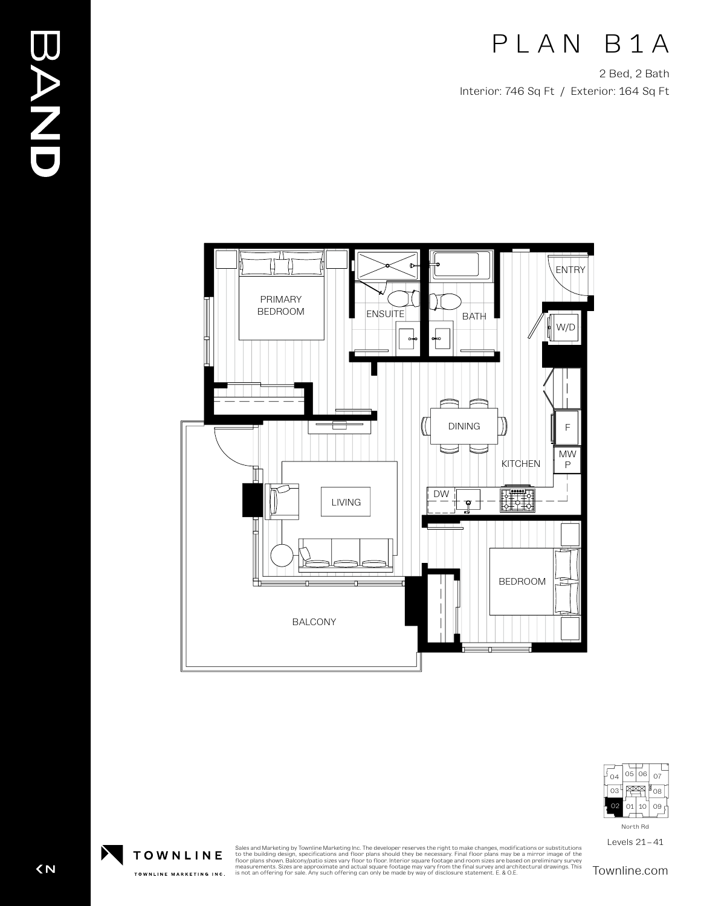## PLAN B1A

2 Bed, 2 Bath Interior: 746 Sq Ft / Exterior: 164 Sq Ft





Levels 21–41

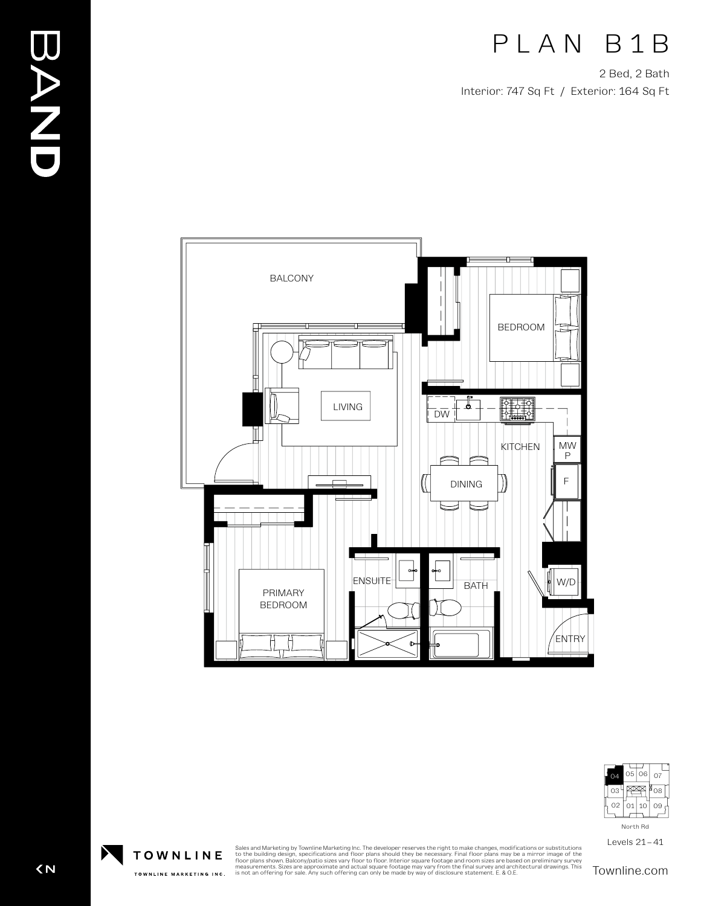## PLAN B1B

2 Bed, 2 Bath Interior: 747 Sq Ft / Exterior: 164 Sq Ft





Levels 21–41

Sales and Marketing by Townline Marketing Inc. The developer reserves the right to make changes, modifications or substitutions<br>to the building design, specifications and floor plans should they be necessary. Final floor p